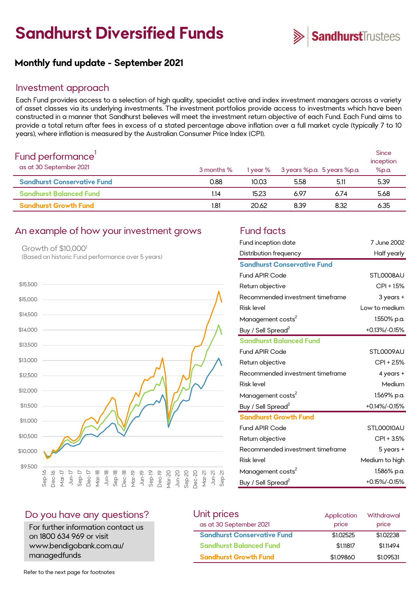# **Sandhurst Diversified Funds**



# **Monthly fund update - September 2021**

#### Investment approach

Each Fund provides access to a selection of high quality, specialist active and index investment managers across a variety of asset classes via its underlying investments. The investment portfolios provide access to investments which have been constructed in a manner that Sandhurst believes will meet the investment return objective of each Fund. Each Fund aims to provide a total return after fees in excess of a stated percentage above inflation over a full market cycle (typically 7 to 10 years), where inflation is measured by the Australian Consumer Price Index (CPI).

| Fund performance'<br>as at 30 September 2021 | 3 months % | 1 year % | 3 years %p.a. 5 years %p.a. |      | <b>Since</b><br>inception<br>%p.a. |
|----------------------------------------------|------------|----------|-----------------------------|------|------------------------------------|
| <b>Sandhurst Conservative Fund</b>           | 0.88       | 10.03    | 5.58                        | 5.11 | 5.39                               |
| <b>Sandhurst Balanced Fund</b>               | 1.14       | 15.23    | 6.97                        | 6.74 | 5.68                               |
| <b>Sandhurst Growth Fund</b>                 | 1.81       | 20.62    | 8.39                        | 8.32 | 6.35                               |

# An example of how your investment grows Fund facts

Growth of \$10,0001 (Based on historic Fund performance over 5 years)



| Fund inception date                | 7 June 2002    |
|------------------------------------|----------------|
| Distribution frequency             | Half yearly    |
| <b>Sandhurst Conservative Fund</b> |                |
| <b>Fund APIR Code</b>              | STL0008AU      |
| Return objective                   | CPI + 1.5%     |
| Recommended investment timeframe   | 3 years +      |
| <b>Risk level</b>                  | Low to medium  |
| Management costs <sup>2</sup>      | 1.550% p.a.    |
| Buy / Sell Spread <sup>2</sup>     | +0.13%/-0.15%  |
| <b>Sandhurst Balanced Fund</b>     |                |
| <b>Fund APIR Code</b>              | STL0009AU      |
| Return objective                   | CPI + 2.5%     |
| Recommended investment timeframe   | 4 years +      |
| <b>Risk level</b>                  | Medium         |
| Management costs <sup>2</sup>      | 1.569% p.a.    |
| Buy / Sell Spread <sup>2</sup>     | +0.14%/-0.15%  |
| <b>Sandhurst Growth Fund</b>       |                |
| <b>Fund APIR Code</b>              | STLOOO10AU     |
| Return objective                   | CPI + 3.5%     |
| Recommended investment timeframe   | 5 years +      |
| <b>Risk level</b>                  | Medium to high |
| Management costs <sup>2</sup>      | 1.586% p.a.    |
| Buy / Sell Spread <sup>2</sup>     | +0.15%/-0.15%  |

#### Do you have any questions?

For further information contact us on 1800 634 969 or visit www.bendigobank.com.au/ managedfunds

| Unit prices                        | Application | Withdrawal |
|------------------------------------|-------------|------------|
| as at 30 September 2021            | price       | price      |
| <b>Sandhurst Conservative Fund</b> | \$1,02525   | \$1,02238  |
| <b>Sandhurst Balanced Fund</b>     | \$1,11817   | \$1.11494  |
| <b>Sandhurst Growth Fund</b>       | \$1,09860   | \$1,09531  |